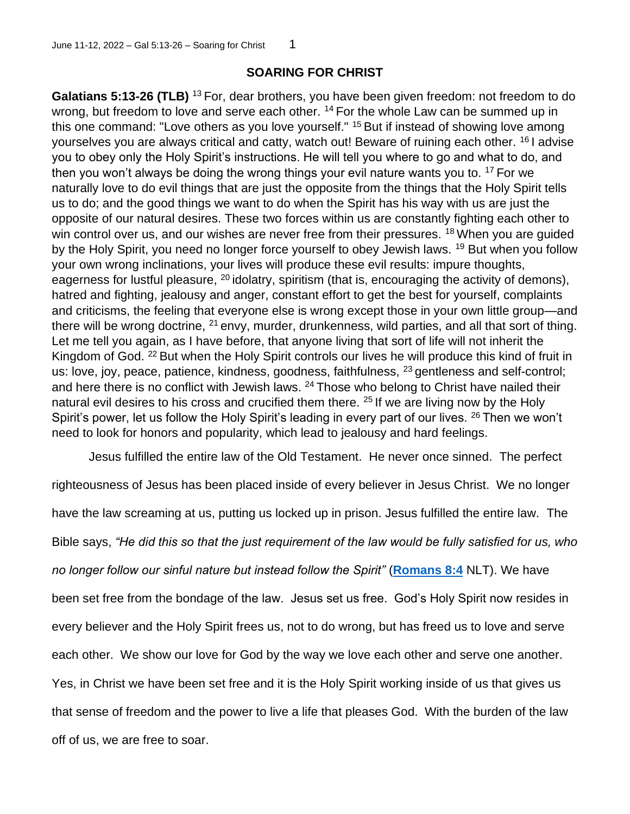## **SOARING FOR CHRIST**

**Galatians 5:13-26 (TLB)** <sup>13</sup> For, dear brothers, you have been given freedom: not freedom to do wrong, but freedom to love and serve each other. <sup>14</sup> For the whole Law can be summed up in this one command: "Love others as you love yourself." <sup>15</sup> But if instead of showing love among yourselves you are always critical and catty, watch out! Beware of ruining each other. <sup>16</sup> I advise you to obey only the Holy Spirit's instructions. He will tell you where to go and what to do, and then you won't always be doing the wrong things your evil nature wants you to.  $17$  For we naturally love to do evil things that are just the opposite from the things that the Holy Spirit tells us to do; and the good things we want to do when the Spirit has his way with us are just the opposite of our natural desires. These two forces within us are constantly fighting each other to win control over us, and our wishes are never free from their pressures. <sup>18</sup> When you are guided by the Holy Spirit, you need no longer force yourself to obey Jewish laws. <sup>19</sup> But when you follow your own wrong inclinations, your lives will produce these evil results: impure thoughts, eagerness for lustful pleasure, <sup>20</sup> idolatry, spiritism (that is, encouraging the activity of demons), hatred and fighting, jealousy and anger, constant effort to get the best for yourself, complaints and criticisms, the feeling that everyone else is wrong except those in your own little group—and there will be wrong doctrine, <sup>21</sup> envy, murder, drunkenness, wild parties, and all that sort of thing. Let me tell you again, as I have before, that anyone living that sort of life will not inherit the Kingdom of God. <sup>22</sup> But when the Holy Spirit controls our lives he will produce this kind of fruit in us: love, joy, peace, patience, kindness, goodness, faithfulness, <sup>23</sup> gentleness and self-control; and here there is no conflict with Jewish laws. <sup>24</sup> Those who belong to Christ have nailed their natural evil desires to his cross and crucified them there. <sup>25</sup> If we are living now by the Holy Spirit's power, let us follow the Holy Spirit's leading in every part of our lives. <sup>26</sup> Then we won't need to look for honors and popularity, which lead to jealousy and hard feelings.

Jesus fulfilled the entire law of the Old Testament. He never once sinned. The perfect

righteousness of Jesus has been placed inside of every believer in Jesus Christ. We no longer have the law screaming at us, putting us locked up in prison. Jesus fulfilled the entire law. The Bible says, *"He did this so that the just requirement of the law would be fully satisfied for us, who no longer follow our sinful nature but instead follow the Spirit"* (**[Romans 8:4](https://www.biblestudytools.com/romans/8-4.html)** NLT). We have been set free from the bondage of the law. Jesus set us free. God's Holy Spirit now resides in every believer and the Holy Spirit frees us, not to do wrong, but has freed us to love and serve each other. We show our love for God by the way we love each other and serve one another. Yes, in Christ we have been set free and it is the Holy Spirit working inside of us that gives us that sense of freedom and the power to live a life that pleases God. With the burden of the law off of us, we are free to soar.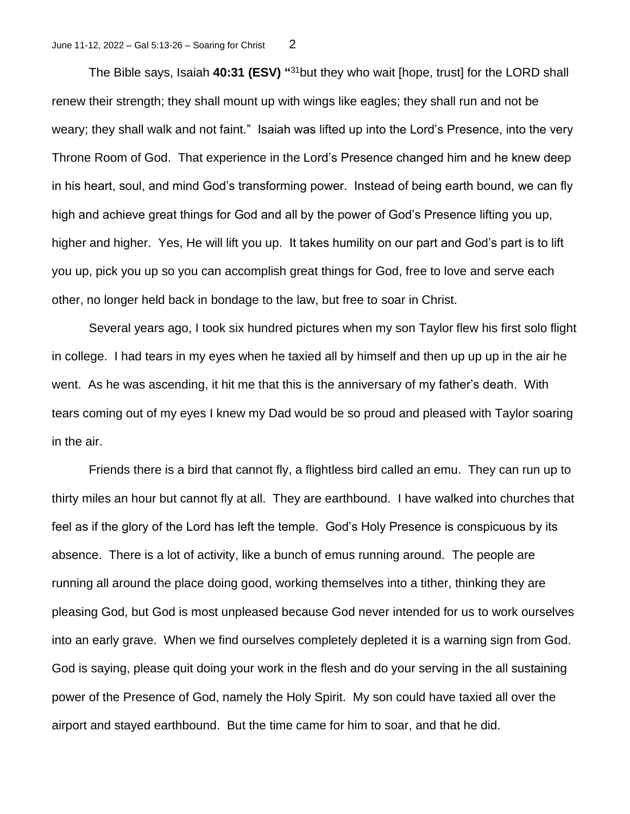The Bible says, Isaiah **40:31 (ESV) "** <sup>31</sup>but they who wait [hope, trust] for the LORD shall renew their strength; they shall mount up with wings like eagles; they shall run and not be weary; they shall walk and not faint." Isaiah was lifted up into the Lord's Presence, into the very Throne Room of God. That experience in the Lord's Presence changed him and he knew deep in his heart, soul, and mind God's transforming power. Instead of being earth bound, we can fly high and achieve great things for God and all by the power of God's Presence lifting you up, higher and higher. Yes, He will lift you up. It takes humility on our part and God's part is to lift you up, pick you up so you can accomplish great things for God, free to love and serve each other, no longer held back in bondage to the law, but free to soar in Christ.

Several years ago, I took six hundred pictures when my son Taylor flew his first solo flight in college. I had tears in my eyes when he taxied all by himself and then up up up in the air he went. As he was ascending, it hit me that this is the anniversary of my father's death. With tears coming out of my eyes I knew my Dad would be so proud and pleased with Taylor soaring in the air.

Friends there is a bird that cannot fly, a flightless bird called an emu. They can run up to thirty miles an hour but cannot fly at all. They are earthbound. I have walked into churches that feel as if the glory of the Lord has left the temple. God's Holy Presence is conspicuous by its absence. There is a lot of activity, like a bunch of emus running around. The people are running all around the place doing good, working themselves into a tither, thinking they are pleasing God, but God is most unpleased because God never intended for us to work ourselves into an early grave. When we find ourselves completely depleted it is a warning sign from God. God is saying, please quit doing your work in the flesh and do your serving in the all sustaining power of the Presence of God, namely the Holy Spirit. My son could have taxied all over the airport and stayed earthbound. But the time came for him to soar, and that he did.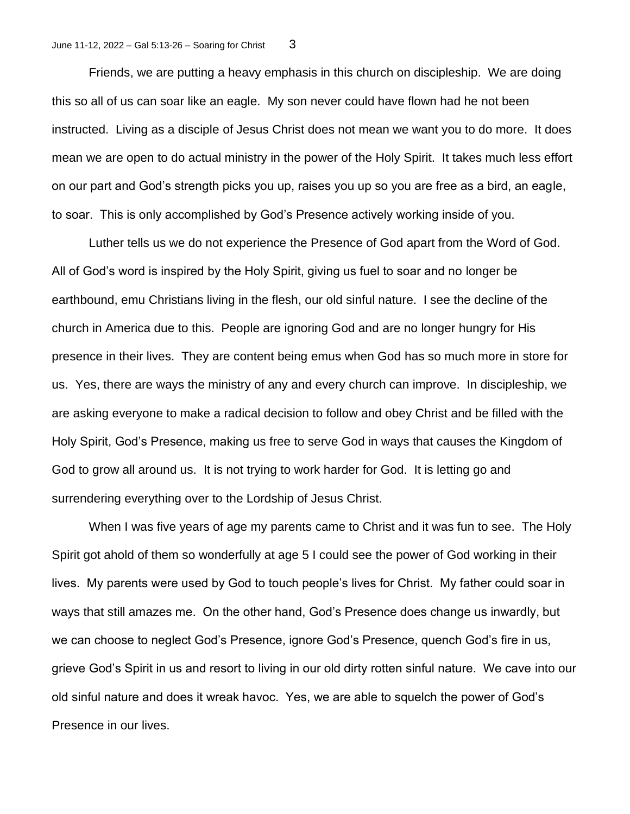Friends, we are putting a heavy emphasis in this church on discipleship. We are doing this so all of us can soar like an eagle. My son never could have flown had he not been instructed. Living as a disciple of Jesus Christ does not mean we want you to do more. It does mean we are open to do actual ministry in the power of the Holy Spirit. It takes much less effort on our part and God's strength picks you up, raises you up so you are free as a bird, an eagle, to soar. This is only accomplished by God's Presence actively working inside of you.

Luther tells us we do not experience the Presence of God apart from the Word of God. All of God's word is inspired by the Holy Spirit, giving us fuel to soar and no longer be earthbound, emu Christians living in the flesh, our old sinful nature. I see the decline of the church in America due to this. People are ignoring God and are no longer hungry for His presence in their lives. They are content being emus when God has so much more in store for us. Yes, there are ways the ministry of any and every church can improve. In discipleship, we are asking everyone to make a radical decision to follow and obey Christ and be filled with the Holy Spirit, God's Presence, making us free to serve God in ways that causes the Kingdom of God to grow all around us. It is not trying to work harder for God. It is letting go and surrendering everything over to the Lordship of Jesus Christ.

When I was five years of age my parents came to Christ and it was fun to see. The Holy Spirit got ahold of them so wonderfully at age 5 I could see the power of God working in their lives. My parents were used by God to touch people's lives for Christ. My father could soar in ways that still amazes me. On the other hand, God's Presence does change us inwardly, but we can choose to neglect God's Presence, ignore God's Presence, quench God's fire in us, grieve God's Spirit in us and resort to living in our old dirty rotten sinful nature. We cave into our old sinful nature and does it wreak havoc. Yes, we are able to squelch the power of God's Presence in our lives.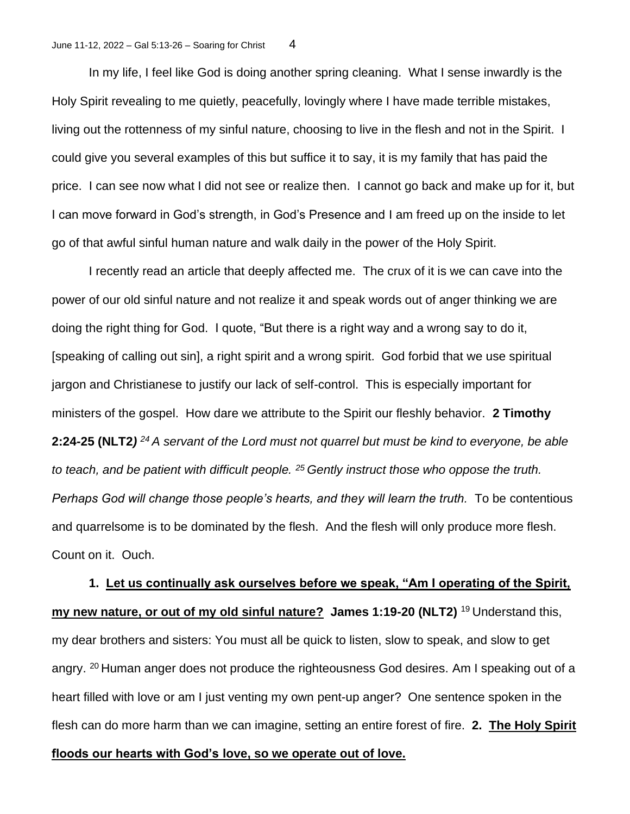In my life, I feel like God is doing another spring cleaning. What I sense inwardly is the Holy Spirit revealing to me quietly, peacefully, lovingly where I have made terrible mistakes, living out the rottenness of my sinful nature, choosing to live in the flesh and not in the Spirit. I could give you several examples of this but suffice it to say, it is my family that has paid the price. I can see now what I did not see or realize then. I cannot go back and make up for it, but I can move forward in God's strength, in God's Presence and I am freed up on the inside to let go of that awful sinful human nature and walk daily in the power of the Holy Spirit.

I recently read an article that deeply affected me. The crux of it is we can cave into the power of our old sinful nature and not realize it and speak words out of anger thinking we are doing the right thing for God. I quote, "But there is a right way and a wrong say to do it, [speaking of calling out sin], a right spirit and a wrong spirit. God forbid that we use spiritual jargon and Christianese to justify our lack of self-control. This is especially important for ministers of the gospel. How dare we attribute to the Spirit our fleshly behavior. **2 Timothy 2:24-25 (NLT2***) <sup>24</sup>A servant of the Lord must not quarrel but must be kind to everyone, be able to teach, and be patient with difficult people. <sup>25</sup>Gently instruct those who oppose the truth. Perhaps God will change those people's hearts, and they will learn the truth.* To be contentious and quarrelsome is to be dominated by the flesh. And the flesh will only produce more flesh. Count on it. Ouch.

**1. Let us continually ask ourselves before we speak, "Am I operating of the Spirit, my new nature, or out of my old sinful nature? James 1:19-20 (NLT2)** <sup>19</sup>Understand this, my dear brothers and sisters: You must all be quick to listen, slow to speak, and slow to get angry.  $20$  Human anger does not produce the righteousness God desires. Am I speaking out of a heart filled with love or am I just venting my own pent-up anger? One sentence spoken in the flesh can do more harm than we can imagine, setting an entire forest of fire. **2. The Holy Spirit floods our hearts with God's love, so we operate out of love.**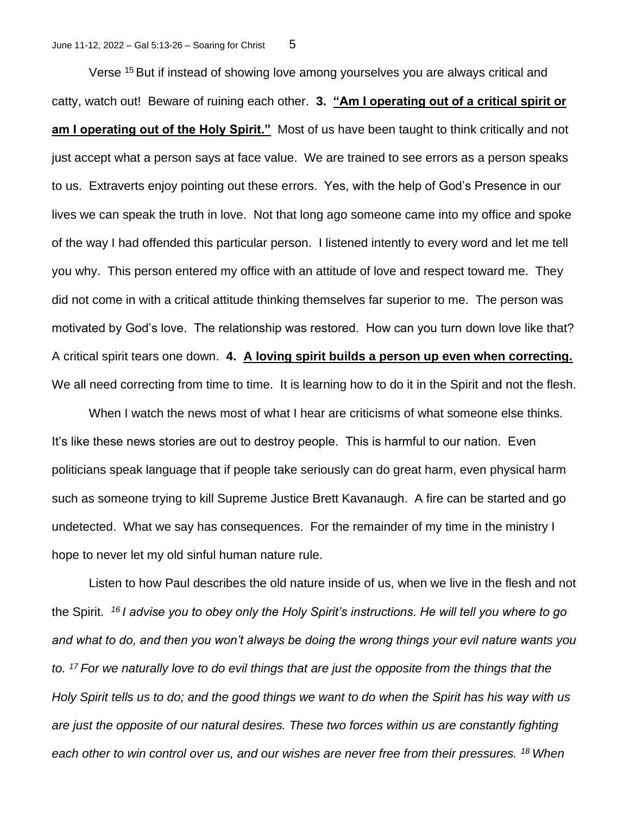Verse <sup>15</sup> But if instead of showing love among yourselves you are always critical and catty, watch out! Beware of ruining each other. 3. "Am I operating out of a critical spirit or **am I operating out of the Holy Spirit."** Most of us have been taught to think critically and not just accept what a person says at face value. We are trained to see errors as a person speaks to us. Extraverts enjoy pointing out these errors. Yes, with the help of God's Presence in our lives we can speak the truth in love. Not that long ago someone came into my office and spoke of the way I had offended this particular person. I listened intently to every word and let me tell you why. This person entered my office with an attitude of love and respect toward me. They did not come in with a critical attitude thinking themselves far superior to me. The person was motivated by God's love. The relationship was restored. How can you turn down love like that? A critical spirit tears one down. **4. A loving spirit builds a person up even when correcting.** We all need correcting from time to time. It is learning how to do it in the Spirit and not the flesh.

When I watch the news most of what I hear are criticisms of what someone else thinks. It's like these news stories are out to destroy people. This is harmful to our nation. Even politicians speak language that if people take seriously can do great harm, even physical harm such as someone trying to kill Supreme Justice Brett Kavanaugh. A fire can be started and go undetected. What we say has consequences. For the remainder of my time in the ministry I hope to never let my old sinful human nature rule.

Listen to how Paul describes the old nature inside of us, when we live in the flesh and not the Spirit. *<sup>16</sup>I advise you to obey only the Holy Spirit's instructions. He will tell you where to go and what to do, and then you won't always be doing the wrong things your evil nature wants you to. <sup>17</sup>For we naturally love to do evil things that are just the opposite from the things that the Holy Spirit tells us to do; and the good things we want to do when the Spirit has his way with us are just the opposite of our natural desires. These two forces within us are constantly fighting each other to win control over us, and our wishes are never free from their pressures. 18 When*